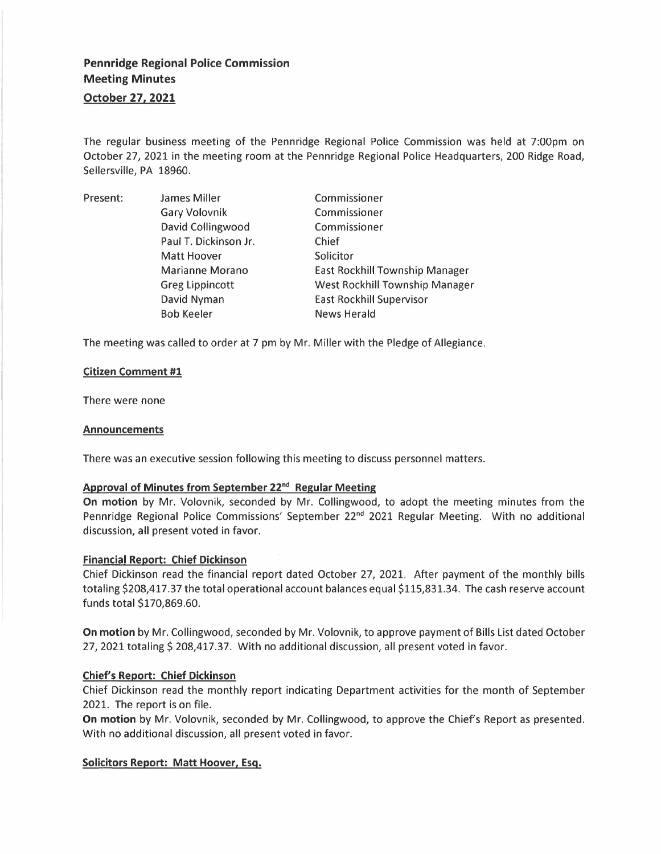# **Pennridge Regional Police Commission Meeting Minutes**

**October 27, 2021** 

The regular business meeting of the Pennridge Regional Police Commission was held at 7:00pm on October 27, 2021 in the meeting room at the Pennridge Regional Police Headquarters, 200 Ridge Road, Sellersville, PA 18960.

| Present: | James Miller           | Commissioner                    |
|----------|------------------------|---------------------------------|
|          | <b>Gary Volovnik</b>   | Commissioner                    |
|          | David Collingwood      | Commissioner                    |
|          | Paul T. Dickinson Jr.  | Chief                           |
|          | Matt Hoover            | Solicitor                       |
|          | Marianne Morano        | East Rockhill Township Manager  |
|          | <b>Greg Lippincott</b> | West Rockhill Township Manager  |
|          | David Nyman            | <b>East Rockhill Supervisor</b> |
|          | <b>Bob Keeler</b>      | <b>News Herald</b>              |

The meeting was called to order at 7 pm by Mr. Miller with the Pledge of Allegiance.

## **Citizen Comment #1**

There were none

#### **Announcements**

There was an executive session following this meeting to discuss personnel matters.

# **Approval of Minutes from September 22 nd Regular Meeting**

**On motion** by Mr. Volovnik, seconded by Mr. Collingwood, to adopt the meeting minutes from the Pennridge Regional Police Commissions' September 22<sup>nd</sup> 2021 Regular Meeting. With no additional discussion, all present voted in favor.

#### **Financial Report: Chief Dickinson**

Chief Dickinson read the financial report dated October 27, 2021. After payment of the monthly bills totaling \$208,417.37 the total operational account balances equal \$115,831.34. The cash reserve account funds total \$170,869.60.

**On motion** by Mr. Collingwood, seconded by Mr. Volovnik, to approve payment of Bills List dated October 27, 2021 totaling \$ 208,417.37. With no additional discussion, all present voted in favor.

#### **Chief's Report: Chief Dickinson**

Chief Dickinson read the monthly report indicating Department activities for the month of September 2021. The report is on file.

**On motion** by Mr. Volovnik, seconded by Mr. Collingwood, to approve the Chief's Report as presented. With no additional discussion, all present voted in favor.

#### **Solicitors Report: Matt Hoover, Esq.**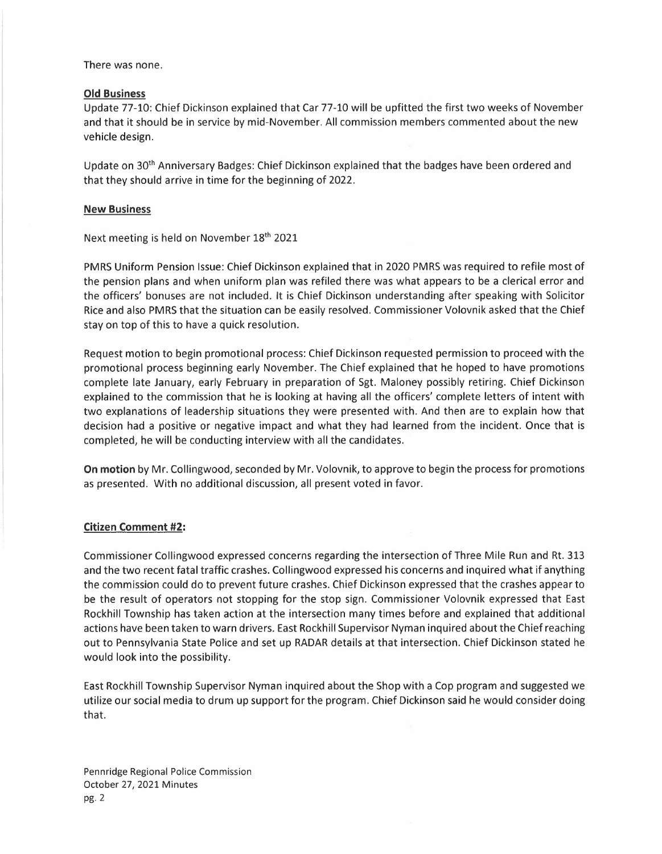There was none.

#### **Old Business**

Update 77-10: Chief Dickinson explained that Car 77-10 will be upfitted the first two weeks of November and that it should be in service by mid-November. All commission members commented about the new vehicle design.

Update on 30<sup>th</sup> Anniversary Badges: Chief Dickinson explained that the badges have been ordered and that they should arrive in time for the beginning of 2022.

## **New Business**

Next meeting is held on November 18<sup>th</sup> 2021

PMRS Uniform Pension Issue: Chief Dickinson explained that in 2020 PMRS was required to refile most of the pension plans and when uniform plan was refiled there was what appears to be a clerical error and the officers' bonuses are not included. It is Chief Dickinson understanding after speaking with Solicitor Rice and also PMRS that the situation can be easily resolved. Commissioner Volovnik asked that the Chief stay on top of this to have a quick resolution.

Request motion to begin promotional process: Chief Dickinson requested permission to proceed with the promotional process beginning early November. The Chief explained that he hoped to have promotions complete late January, early February in preparation of Sgt. Maloney possibly retiring. Chief Dickinson explained to the commission that he is looking at having all the officers' complete letters of intent with two explanations of leadership situations they were presented with. And then are to explain how that decision had a positive or negative impact and what they had learned from the incident. Once that is completed, he will be conducting interview with all the candidates.

**On motion** by Mr. Collingwood, seconded by Mr. Volovnik, to approve to begin the process for promotions as presented. With no additional discussion, all present voted in favor.

# **Citizen Comment #2:**

Commissioner Collingwood expressed concerns regarding the intersection of Three Mile Run and Rt. 313 and the two recent fatal traffic crashes. Collingwood expressed his concerns and inquired what if anything the commission could do to prevent future crashes. Chief Dickinson expressed that the crashes appear to be the result of operators not stopping for the stop sign. Commissioner Volovnik expressed that East Rockhill Township has taken action at the intersection many times before and explained that additional actions have been taken to warn drivers. East Rockhill Supervisor Nyman inquired about the Chief reaching out to Pennsylvania State Police and set up RADAR details at that intersection. Chief Dickinson stated he would look into the possibility.

East Rockhill Township Supervisor Nyman inquired about the Shop with a Cop program and suggested we utilize our social media to drum up support for the program. Chief Dickinson said he would consider doing that.

Pennridge Regional Police Commission October 27, 2021 Minutes pg.2